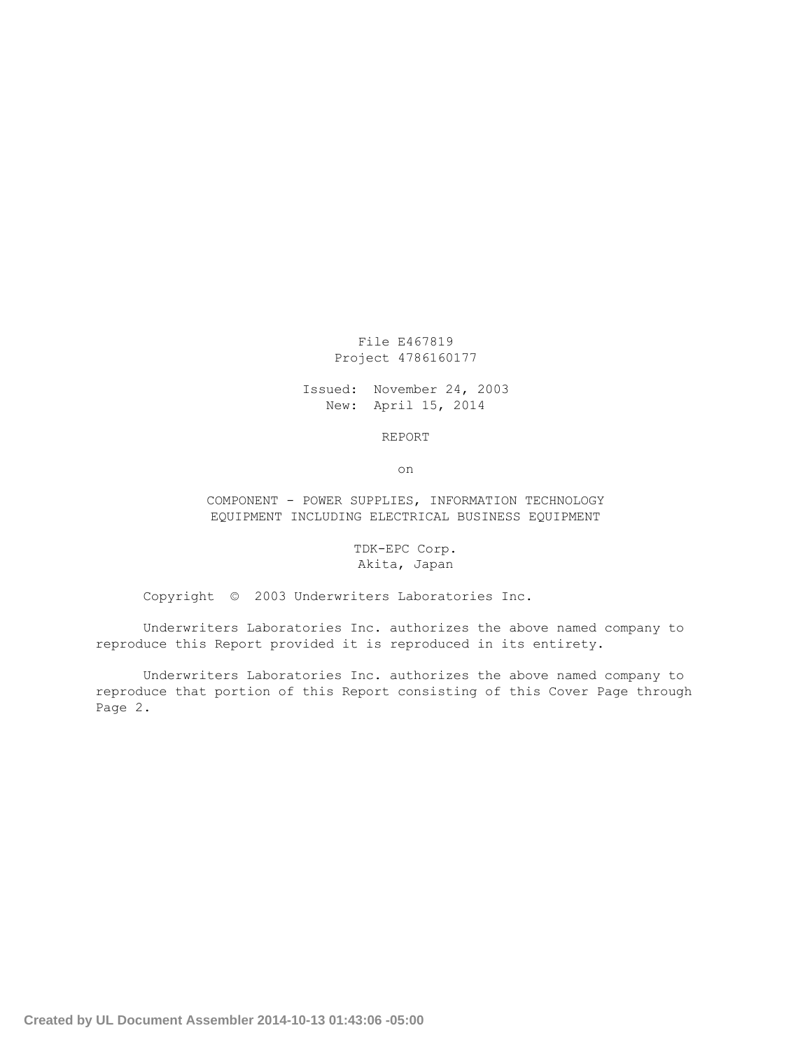File E467819 Project 4786160177

Issued: November 24, 2003 New: April 15, 2014

REPORT

on

COMPONENT - POWER SUPPLIES, INFORMATION TECHNOLOGY EQUIPMENT INCLUDING ELECTRICAL BUSINESS EQUIPMENT

> TDK-EPC Corp. Akita, Japan

Copyright © 2003 Underwriters Laboratories Inc.

Underwriters Laboratories Inc. authorizes the above named company to reproduce this Report provided it is reproduced in its entirety.

Underwriters Laboratories Inc. authorizes the above named company to reproduce that portion of this Report consisting of this Cover Page through Page 2.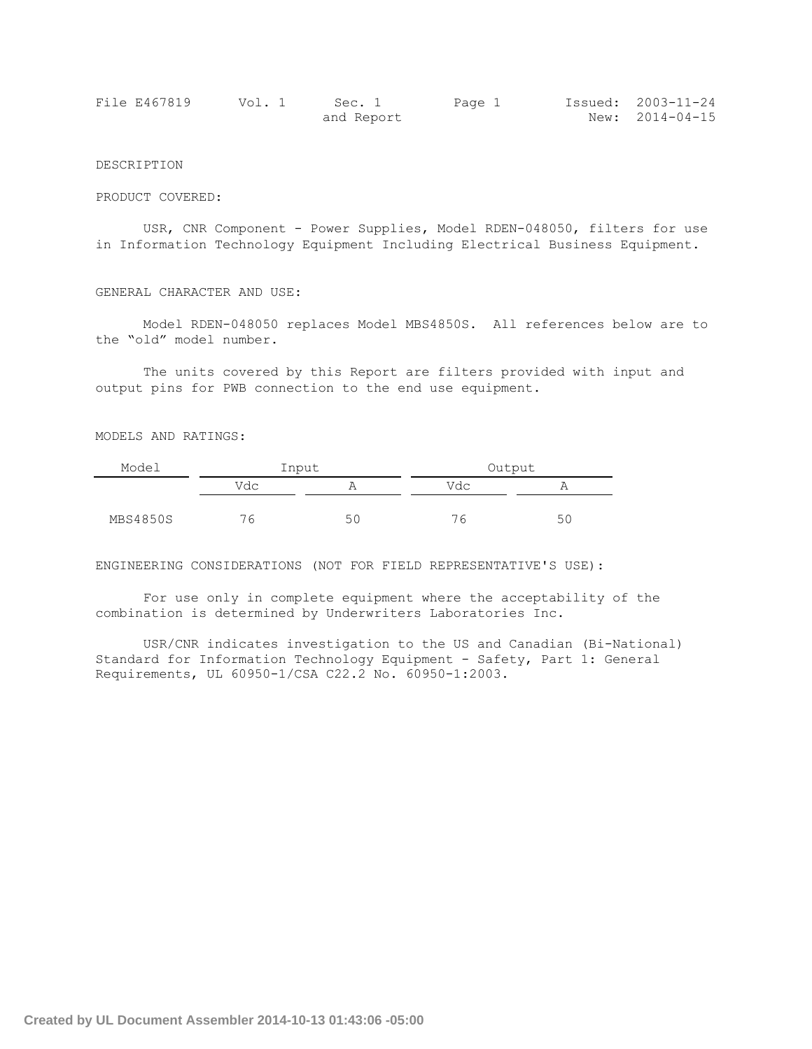| File E467819 | Vol. 1     | Sec. 1 | Page 1 | Issued: 2003-11-24    |
|--------------|------------|--------|--------|-----------------------|
|              | and Report |        |        | New: $2014 - 04 - 15$ |

## DESCRIPTION

## PRODUCT COVERED:

USR, CNR Component - Power Supplies, Model RDEN-048050, filters for use in Information Technology Equipment Including Electrical Business Equipment.

## GENERAL CHARACTER AND USE:

Model RDEN-048050 replaces Model MBS4850S. All references below are to the "old" model number.

The units covered by this Report are filters provided with input and output pins for PWB connection to the end use equipment.

MODELS AND RATINGS:

| Model           | Input |    | Output |                      |
|-----------------|-------|----|--------|----------------------|
|                 | Vdc   |    | Vdc    |                      |
|                 |       |    |        |                      |
| <b>MBS4850S</b> | 76    | 56 | 76     | $\sim$ $\sim$ $\sim$ |

## ENGINEERING CONSIDERATIONS (NOT FOR FIELD REPRESENTATIVE'S USE):

For use only in complete equipment where the acceptability of the combination is determined by Underwriters Laboratories Inc.

USR/CNR indicates investigation to the US and Canadian (Bi-National) Standard for Information Technology Equipment - Safety, Part 1: General Requirements, UL 60950-1/CSA C22.2 No. 60950-1:2003.